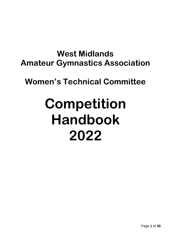# **West Midlands Amateur Gymnastics Association**

# **Women's Technical Committee**

# **Competition Handbook 2022**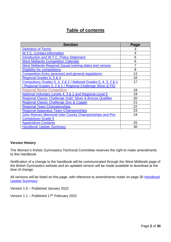# **Table of contents**

| <b>Section</b>                                                 | Page |
|----------------------------------------------------------------|------|
| <b>Definition of Terms</b>                                     | 3    |
| <b>W.T.C. Contact information</b>                              | 4    |
| Introduction and W.T.C. Policy Statement                       | 5    |
| <b>West Midlands Competition Calendar</b>                      | 6    |
| West Midlands Regional Squad training dates and venues         | 7    |
| <b>Eligibility for competitions</b>                            | 8    |
| <b>Competition Entry (process) and general regulations</b>     | 12   |
| Regional Grades 6, 5 & 4                                       | 16   |
| Compulsory Grades 5, 4, 3 & 2 / National Grades 5, 4, 3, 2 & 1 | 17   |
| / Regional Grades 3, 2 & 1 / Regional Challenge Silver & FIG   |      |
| <b>Regional Novice Competition</b>                             | 18   |
| National Voluntary Levels 4, 3 & 2 and Regional Level 5        | 19   |
| Regional Classic Challenge Gold, Silver & Bronze Qualifier     | 20   |
| Regional Classic Challenge Zinc & Copper                       | 21   |
| <b>Regional Team Championships</b>                             | 22   |
| <b>Regional Apparatus Team Championships</b>                   | 23   |
| John Reeves Memorial Inter County Championships and Pre-       | 24   |
| <b>Compulsory Grade 5</b>                                      |      |
| <b>Appendices Contents</b>                                     | 25   |
| <b>Handbook Update Summary</b>                                 | 30   |

#### **Version History**

The Women's Artistic Gymnastics Technical Committee reserves the right to make amendments to this Handbook.

Notification of a change to the handbook will be communicated through the West Midlands page of the British Gymnastics website and an updated version will be made available to download at the time of change.

All versions will be listed on this page, with reference to amendments made on page 30 Handbook [Update Summary;](#page-29-0)

Version 1.0 – Published January 2022

Version 1.1 - Published 17<sup>th</sup> February 2022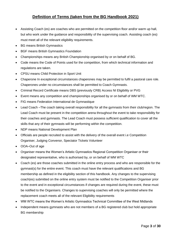# **Definition of Terms (taken from the BG Handbook 2021)**

- <span id="page-2-0"></span>• Assisting Coach (es) are coaches who are permitted on the competition floor and/or warm up hall, but who work under the guidance and responsibility of the supervising coach. Assisting coach (es) must meet all of the relevant eligibility requirements.
- BG means British Gymnastics
- BGF means British Gymnastics Foundation
- Championships means any British Championship organised by or on behalf of BG.
- Code means the Code of Points used for the competition, from which technical information and regulations are taken.
- CPSU means Child Protection in Sport Unit
- Chaperone In exceptional circumstances chaperones may be permitted to fulfil a pastoral care role. Chaperones under no circumstances shall be permitted to Coach Gymnasts.
- Criminal Record Certificate means DBS (previously CRB) Access NI Eligibility or PVG
- Event means any competition and championships organised by or on behalf of WM WTC.
- FIG means Federation International de Gymnastique
- Lead Coach –The coach taking overall responsibility for all the gymnasts from their club/region. The Lead Coach must be present in the competition arena throughout the event to take responsibility for their coaches and gymnasts. The Lead Coach must possess sufficient qualification to cover all the skills that any of their gymnasts will be performing within the competition.
- NDP means National Development Plan
- Officials are people recruited to assist with the delivery of the overall event i.e Competition Organiser, Judging Convenor, Spectator Tickets Volunteer
- OOA–Out of age
- Organiser means the Women's Artistic Gymnastics Regional Competition Organiser or their designated representative, who is authorised by, or on behalf of WM WTC
- Coach (es) are those coaches submitted in the online entry process and who are responsible for the gymnast(s) for the entire event. This coach must have the relevant qualifications and BG membership as defined in the eligibility section of this handbook. Any changes to the supervising coach(es) submitted on the online entry system must be notified to the Competition Organiser prior to the event and in exceptional circumstances if changes are required during the event, these must be notified to the Organisers. Changes to supervising coaches will only be permitted where the replacement coach meets all of the relevant Eligibility requirements
- WM WTC means the Women's Artistic Gymnastics Technical Committee of the West Midlands
- Independent means gymnasts who are not members of a BG registered club but hold appropriate BG membership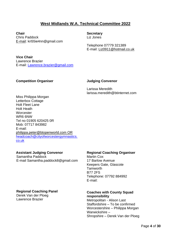# **West Midlands W.A. Technical Committee 2022**

<span id="page-3-0"></span>**Chair Secretary** Chris Paddock Liz Jones [E-mail:](mailto:E-mail) kri55ie4nn@gmail.com

Telephone 07779 321389 E-mail: [Liz0911@hotmail.co.uk](mailto:Liz0911@hotmail.co.uk)

**Vice Chair** Lawrence Brazier E-mail: [Lawrence.brazier@gmail.com](mailto:Lawrence.brazier@gmail.com)

#### **Competition Organiser Competition Conventsion Conventsion Conventsion Conventsion Conventsion Conventsion Conventsion Conventsion Conventsion Conventsion Conventsion Conventsion Conventsion Conventsion Conventsion Convent**

Larissa Meredith larissa.meredith@btinternet.com

Miss Philippa Morgan Letterbox Cottage Holt Fleet Lane Holt Heath **Worcester** WR6 6NW Tel no 01905 620425 0R Mob: 07717 843982 E-mail: [philippa.peter@btopenworld.com](mailto:philippa.peter@btopenworld.com) OR [headcoach@cityofworcestergymnastics.](mailto:headcoach@cityofworcestergymnastics.co.uk) [co.uk](mailto:headcoach@cityofworcestergymnastics.co.uk)

#### **Assistant Judging Convenor**

Samantha Paddock E-mail Samantha.paddock8@gmail.com

#### **Regional Coaching Organiser**

Martin Cox 17 Barlow Avenue Keepers Gate, Glascote **Tamworth** B77 2FS Telephone: 07792 884992 E-mail:

#### **Regional Coaching Panel**

Derek Van der Ploeg Lawrence Brazier

#### **Coaches with County Squad responsibility**

Metropolitan - Alison Last Staffordshire – To be confirmed Worcestershire – Philippa Morgan Warwickshire – Shropshire – Derek Van der Ploeg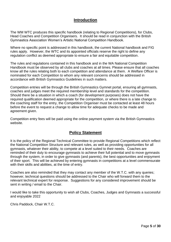# **Introduction**

<span id="page-4-0"></span>The WM WTC produces this specific handbook (relating to Regional Competitions), for Clubs, Head Coaches and Competition Organisers. It should be read in conjunction with the British Gymnastics Association Women's Artistic National Competition Handbook.

Where no specific point is addressed in this handbook, the current National handbook and FIG rules apply. However, the WTC and its appointed officials reserve the right to define any regulation conflict as deemed appropriate to ensure a fair and equitable competition.

The rules and regulations contained in this handbook and in the WA National Competition Handbook must be observed by all clubs and coaches at all times. Please ensure that all coaches know all the rules relating both to each competition and attendance at them. A Welfare Officer is nominated for each Competition to whom any relevant concerns should be addressed in accordance with British Gymnastics Guidelines in such matters.

Competition entries will be through the British Gymnastics Gymnet portal, ensuring all gymnasts, coaches and judges meet the required membership level and standards for the competition. Should there be a situation in which a coach (for development purposes) does not have the required qualification deemed appropriate for the competition, or where there is a late change to the coaching staff for the entry, the Competition Organiser must be contacted at least 48 hours before the event to request a change to allow time for adequate checks to be made and agreement given.

Competition entry fees will be paid using the online payment system via the British Gymnastics website.

# **Policy Statement**

It is the policy of the Regional Technical Committee to provide Regional Competitions which reflect the National Competition Structure and relevant rules, as well as providing opportunities for all gymnasts, whatever their ability, to compete at a level suited to their needs. Coaches are reminded of their duty to encourage gymnasts to achieve their full potential and to move gymnasts through the system, in order to give gymnasts (and parents), the best opportunities and enjoyment of their sport. This will be achieved by entering gymnasts in competitions at a level commensurate with their skills and abilities, at the time of entry.

Coaches are also reminded that they may contact any member of the W.T.C. with any queries; however, technical questions should be addressed to the Chair who will forward them to the relevant technical expert for response. Suggestions for any considered improvement should be sent in writing / email to the Chair.

I would like to take this opportunity to wish all Clubs, Coaches, Judges and Gymnasts a successful and enjoyable 2022

Chris Paddock, Chair W.T.C.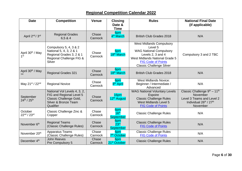# **Regional Competition Calendar 2022**

<span id="page-5-0"></span>

| <b>Date</b>                                     | <b>Competition</b>                                                                                                       | <b>Venue</b>     | <b>Closing</b><br>Date &<br><b>Time</b>     | <b>Rules</b>                                                                                                                                                                                        | <b>National Final Date</b><br>(if applicable)                                                                                       |
|-------------------------------------------------|--------------------------------------------------------------------------------------------------------------------------|------------------|---------------------------------------------|-----------------------------------------------------------------------------------------------------------------------------------------------------------------------------------------------------|-------------------------------------------------------------------------------------------------------------------------------------|
| April 2 <sup>nd</sup> / 3 <sup>rd</sup>         | <b>Regional Grades</b><br>6,5 & 4                                                                                        | Chase<br>Cannock | 6pm<br>4 <sup>th</sup> March                | <b>British Club Grades 2018</b>                                                                                                                                                                     | N/A                                                                                                                                 |
| April 30 <sup>th</sup> / May<br>1 <sup>st</sup> | Compulsory 5, 4, 3 & 2<br>National 5, 4, 3, 2 & 1<br>Regional Grades 3, 2 & 1<br>Regional Challenge FIG &<br>Silver      | Chase<br>Cannock | 6pm<br>18 <sup>th</sup> March               | <b>West Midlands Compulsory</b><br>Level 5<br><b>WAG National Compulsory</b><br>Levels 2, 3 and 4<br>West Midlands National Grade 5<br><b>FIG Code of Points</b><br><b>Classic Challenge Silver</b> | Compulsory 3 and 2 TBC                                                                                                              |
| April 30 <sup>th</sup> / May                    | <b>Regional Grades 321</b>                                                                                               | Chase<br>Cannock | 6pm<br>18 <sup>th</sup> March               | <b>British Club Grades 2018</b>                                                                                                                                                                     | N/A                                                                                                                                 |
| May 21st / 22nd                                 | <b>Regional Novice</b>                                                                                                   | Chase<br>Cannock | 6pm<br>8 <sup>th</sup> April                | <b>West Midlands Novice:</b><br>Beginner / Intermediate /<br>Advanced                                                                                                                               | N/A                                                                                                                                 |
| September<br>24th / 25th                        | National Vol Levels 4, 3, 2,<br>FIG and Regional Level 5<br>Classic Challenge Gold,<br>Silver & Bronze Team<br>Qualifier | Chase<br>Cannock | 16pm<br>12 <sup>th</sup> August             | <b>WAG National Voluntary Levels</b><br>Espoire<br><b>Classic Challenge Rules</b><br><b>West Midlands Level 5</b><br><b>FIG Code of Points</b>                                                      | Classic Challenge 9th - 11th<br>November<br>Level 3 Teams and Level 2<br>Individual 26 <sup>th</sup> / 27 <sup>th</sup><br>November |
| October<br>22nd / 23rd                          | Classic Challenge Zinc &<br>Copper                                                                                       | Chase<br>Cannock | 6pm<br>16 <sup>th</sup><br><b>September</b> | <b>Classic Challenge Rules</b>                                                                                                                                                                      | N/A                                                                                                                                 |
| November 6 <sup>th</sup>                        | <b>Regional Teams</b><br>(Classic Challenge Rules)                                                                       | Chase<br>Cannock | 6pm<br>23 <sup>rd</sup><br><b>September</b> | <b>Classic Challenge Rules</b><br><b>FIG Code of Points</b>                                                                                                                                         | N/A                                                                                                                                 |
| November 20 <sup>th</sup>                       | <b>Apparatus Teams</b><br>(Classic Challenge Rules)                                                                      | Chase<br>Cannock | 6pm<br>7 <sup>th</sup> October              | <b>Classic Challenge Rules</b><br><b>FIG Code of Points</b>                                                                                                                                         | N/A                                                                                                                                 |
| December 4th                                    | <b>John Reeves</b><br>Pre Compulsory 5                                                                                   | Chase<br>Cannock | 6pm<br>21 <sup>st</sup> October             | <b>Classic Challenge Rules</b>                                                                                                                                                                      | N/A                                                                                                                                 |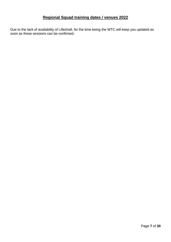# **Regional Squad training dates / venues 2022**

<span id="page-6-0"></span>Due to the lack of availability of Lilleshall, for the time being the WTC will keep you updated as soon as these sessions can be confirmed.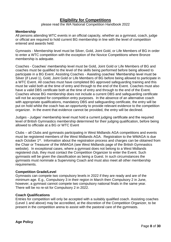# **Eligibility for Competitions**

please read the WA National Competition Handbook 2022

#### <span id="page-7-0"></span>**Membership**

All persons attending WTC events in an official capacity, whether as a gymnast, coach, judge or official are required to hold current BG membership in line with the level of competition entered and awards held:

Gymnasts - Membership level must be Silver, Gold, Joint Gold, or Life Members of BG in order to enter a WTC competition with the exception of the Novice Competitions where Bronze membership is adequate.

Coaches - Coaches' membership level must be Gold, Joint Gold or Life Members of BG and coaches must be qualified to the level of the skills being performed before being allowed to participate in a BG Event. Assisting Coaches - Assisting coaches' Membership level must be Silver (if Level 1), Gold, Joint Gold or Life Members of BG before being allowed to participate in a WTC Event. All coaches must have completed BG approved safeguarding training and this must be valid both at the time of entry and through to the end of the Event. Coaches must also have a valid DBS certificate both at the time of entry and through to the end of the Event. Coaches whose BG membership does not include a current DBS and safeguarding certificate will not be accepted for competition entry purposes. In the absence of an alternative coach with appropriate qualifications, mandatory DBS and safeguarding certificate, the entry will be put on hold whilst the coach has an opportunity to provide relevant evidence to the competition organizer. In the event that evidence cannot be provided, the entry will be declined.

Judges - Judges' membership level must hold a current judging certificate and the required level of British Gymnastics membership determined for their judging qualification, before being allowed to officiate at a BG or WTC Event

Clubs – all Clubs and gymnasts participating in West Midlands AGA competitions and events must be registered members of the West Midlands AGA. Registration to the WMAGA is due each October 1<sup>st</sup>. Information about the registration process and charges can be obtained from the Chair or Treasurer of the WMAGA (see West Midlands page of the British Gymnastics website). In exceptional cases, where a gymnast does not belong to a West Midlands registered club, they must contact the Competition Organizer to enter the Event. Such gymnasts will be given the classification as being a Guest. In such circumstances the gymnasts must nominate a Supervising Coach and must also meet all other membership requirements.

#### **Competition Grade/Level**

Gymnasts can compete two compulsory levels in 2022 if they are ready and are of the minimum age. E.g., Compulsory 3 in their region in March then Compulsory 2 in June, however, a gymnast cannot compete two compulsory national finals in the same year. There will be no re-sit for Compulsory 2 in 2022.

#### **Coach Qualifications**

Entries for competition will only be accepted with a suitably qualified coach. Assisting coaches (Level 1 and above) may be accredited, at the discretion of the Competition Organizer, to be present in the competition arena to assist with the pastoral care of the gymnasts.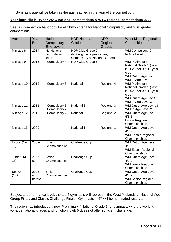Gymnasts age will be taken as the age reached in the year of the competition.

#### **Year born eligibility for WAG national competitions & WTC regional competitions 2022**

See BG competition handbook for eligibility criteria for National Compulsory and NDP grades competitions

| Age                | Year<br><b>Born</b>  | National<br>Compulsory<br><b>Elite Levels</b> | <b>NDP National</b><br><b>Grades</b>                                                     | <b>NDP</b><br>Regional<br><b>Grades</b> | <b>West Mids. Regional</b><br>Competitions                                                                                     |
|--------------------|----------------------|-----------------------------------------------|------------------------------------------------------------------------------------------|-----------------------------------------|--------------------------------------------------------------------------------------------------------------------------------|
| Min age 8          | 2014                 | <b>No National</b><br>compulsory<br>level     | NDP Club Grade 6<br>(Not eligible: a pass at any<br><b>Compulsory or National Grade)</b> |                                         | WM Compulsory 5<br>In Age Level 5                                                                                              |
| Min age 9          | 2013                 | Compulsory 4                                  | NDP Club Grade 6                                                                         |                                         | <b>WM Preliminary</b><br>National Grade 5 (new<br>in 2020) for 9 & 10 year<br>olds<br>WM Out of Age Lev 5<br>WM In Age Lev 4   |
| Min age 10         | 2012                 | Compulsory 3                                  | National 4                                                                               | Regional 4                              | <b>WM Preliminary</b><br>National Grade 5 (new<br>in 2020) for 9 & 10 year<br>olds<br>WM Out of Age Lev 4<br>WM In Age Level 3 |
| Min age 11         | 2011                 | Compulsory 3<br>Compulsory 2                  | National 3                                                                               | Regional 3                              | WM Out of Age Lev 4/3<br>WM In Age Level 2                                                                                     |
| Min age 12         | 2010                 | Compulsory 2                                  | National 2                                                                               | Regional 2                              | WM Out of Age Lev<br>4/3/2<br><b>Espoir Regional</b><br>Championships                                                          |
| Min age 13         | 2009                 |                                               | National 1                                                                               | Regional 1                              | WM Out of Age Level<br>4/3/2<br><b>WM Espoir Regional</b><br>Championships                                                     |
| Espoir (12-<br>13) | 2009-<br>10          | <b>British</b><br>Championships               | <b>Challenge Cup</b>                                                                     |                                         | WM Out of Age Level<br>4/3/2<br><b>WM Espoir Regional</b><br>Championships                                                     |
| Junior (14-<br>15) | 2007-<br>08          | <b>British</b><br>Championships               | <b>Challenge Cup</b>                                                                     |                                         | WM Out of Age Level<br>4/3/2<br><b>WM Junior Regional</b><br>Championships                                                     |
| Senior<br>$(16+)$  | 2006<br>or<br>before | <b>British</b><br>Championships               | Challenge Cup                                                                            |                                         | WM Out of Age Level<br>4/3/2<br><b>WM Senior Regional</b><br>Championships                                                     |

Subject to performance level, the top 4 gymnasts will represent the West Midlands at National Age Group Finals and Classic Challenge Finals. Gymnasts in 5th will be nominated reserve.

The region has introduced a new Preliminary / National Grade 5 for gymnasts who are working towards national grades and for whom club 5 does not offer sufficient challenge.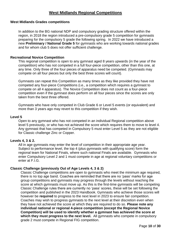# **West Midlands Regional Competitions**

#### **West Midlands Grades competitions**

In addition to the BG national NDP and compulsory grading structure offered within the region, in 2018 the region introduced a pre-compulsory grade 5 competition for gymnasts preparing for the compulsory 5 grade the following spring. In 2022 we have introduced a new **Preliminary / National Grade 5** for gymnasts who are working towards national grades and for whom club 5 does not offer sufficient challenge.

#### **Recreational Novice Competition**

This regional competition is open to any gymnast aged 8 years upwards (in the year of the competition) who has not competed in a full four-piece competition, other than this one, at any time. Only three of the four pieces of apparatus need be competed. (Gymnasts may compete on all four pieces but only the best three scores will count).

Gymnasts can repeat this Competition as many times as they like provided they have not competed any four-piece Competitions (i.e., a competition which requires a gymnast to compete on all 4 apparatus). The Novice Competition does not count as a four-piece competition even if the gymnast does perform on all four pieces since the scores are only taken from the best three offered.

Gymnasts who have only competed in Club Grade 6 or Level 5 events (or equivalent) and more than 3 years ago may revert to this competition if they wish.

#### **Level 5**

Open to any gymnast who has not competed in an individual Regional competition above level 5 previously, or who has not achieved the score which requires them to move to level 4. Any gymnast that has competed in Compulsory 5 must enter Level 5 as they are not eligible for Classic challenge Zinc or Copper.

#### **Levels 4, 3 & 2.**

All in age gymnasts may enter the level of competition in their appropriate age year. Subject to performance level, the top 4 (plus gymnasts with qualifying score) form the regional team for National Finals, where such national Finals are available. Gymnasts who enter Compulsory Level 2 and 1 must compete in age at regional voluntary competitions or enter at F.I.G.

#### **Classic Challenge (previously Out of Age Levels 4, 3 & 2)**

Classic Challenge competitions are open to gymnasts who meet the minimum age required, there is no top age band. Coaches are reminded that there are no 'pass' marks for age group competitions and gymnasts may progress through the levels without reaching the score at which gymnasts must move up. As this is the first-time gymnasts will be competing Classic Challenge rules there are currently no 'pass' scores, these will be set following the competition and published in the 2023 Handbook. Gymnasts who achieve those scores will however be **required** to progress to the next level in 2023 to ensure fair competition. Coaches may wish to progress gymnasts to the next level at their discretion even when they have not achieved the score at which they are required to do so. **Please note any individual national or regional 4-piece competition (except the Regional Novice Competition) will be used to identify whether a gymnast has achieved the score at which they must progress to the next level.** All gymnasts who compete in compulsory grade 2 must compete in Regional FIG competition.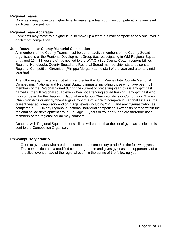#### **Regional Teams**

Gymnasts may move to a higher level to make up a team but may compete at only one level in each team competition.

#### **Regional Team Apparatus**

Gymnasts may move to a higher level to make up a team but may compete at only one level in each team competition.

#### **John Reeves Inter County Memorial Competition**

All members of the County Teams must be current active members of the County Squad organisations or the Regional Development Group (i.e., participating in WM Regional Squad and aged 10 – 11 years old), as notified to the W.T.C. (See County Coach responsibilities in Regional Handbook). County Squad and Regional Squad membership lists to be sent to Regional Competition Organiser (Philippa Morgan) at the start of the year and after any midyear trial.

The following gymnasts are **not eligible** to enter the John Reeves Inter County Memorial Competition: National and Regional Squad gymnasts, including those who have been full members of the Regional Squad during the current or preceding year (this is any gymnast named in the full regional squad even when not attending squad training); any gymnast who has competed for the Region in National Age Group Championships or Compulsory Grades Championships or any gymnast eligible by virtue of score to compete in National Finals in the current year at Compulsory and or In Age levels (including 2 & 1) and any gymnast who has competed at FIG in any regional or national individual competition. Gymnasts named within the regional squad development group (i.e., age 11 years or younger), and are therefore not full members of the regional squad may compete.

Coaches with Regional Squad responsibilities will ensure that the list of gymnasts selected is sent to the Competition Organiser.

#### **Pre-compulsory grade 5**

Open to gymnasts who are due to compete at compulsory grade 5 in the following year. This competition has a modified code/programme and gives gymnasts an opportunity of a 'practice' event ahead of the regional event in the spring of the following year.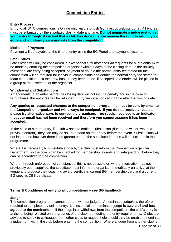# **Competition Entries**

#### <span id="page-11-0"></span>**Entry Process**

Entry to all WTC competitions is Online only via the British Gymnastics website portal. All entries must be submitted by the stipulated closing date and time. **Do not nominate a judge just to get your entry through, if we find that a club has done this, we reserve the right to refund your entry and withdraw your gymnasts from the competition.** 

#### **Methods of Payment**

Payment will be payable at the time of entry using the BG Portal and payment systems.

#### **Late Entries**

Late entries will only be considered in exceptional circumstances All requests for a late entry must be made by emailing the competition organiser within 7 days of the closing date. In the unlikely event of a late entry being accepted, payment of double the normal entry fee stated for the competition will be required for individual competitions and double the normal entry fee stated for team competitions. If the draw has already been made, if accepted, late entries will be placed in a group at the discretion of the organiser

#### **Withdrawal and Substitutions**

Amendments to an entry before the closing date will not incur a penalty and in the case of withdrawals, the entry fee will be refunded. Entry fees are non-refundable after the closing date.

**Any queries or requested changes to the competition programme must be sent by email to the Competition organizer and will always be receipted. If you do not receive a receipt, please try alternative ways to contact the organisers – no receipt received is an indicator that your email has not been received and therefore you cannot assume it has been accepted.**

In the case of a team entry, if a club wishes to make a substitution (due to the withdrawal of a previous entrant), they can only do so up to noon on the Friday before the event. Substitutions will not incur a fee however there is no guarantee that the substituted names will be included in the programme.

Where it is necessary to substitute a coach, the club must inform the Competition organizer Department, so the coach can be checked for membership, awards and safeguarding, before they can be accredited for the competition.

Where, through unforeseen circumstances, this is not possible or, where information has not previously been supplied, the substitute must inform the organizer immediately on arrival at the venue and produce their coaching award certificate, current BG membership card and a current BG specific DBS certificate.

#### **Terms & Conditions of entry to all competitions – see BG handbook**

#### **Judges**

**T**he competition programme cannot operate without judges. A nominated judge/s is therefore required to complete any online entry. It is essential the nominated judge **is aware of and has agreed to the nomination** – if the judge later withdraws from the competition, the club's entry is at risk of being rejected on the grounds of the club not meeting the entry requirements. Clubs are advised to speak to colleagues from other clubs to request help should they be unable to nominate a judge from within the club before entering the competition. Where a judge from another club is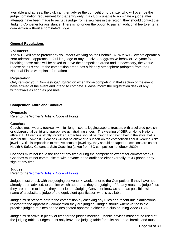available and agrees, the club can then advise the competition organizer who will override the judge nomination requirement for that entry only. If a club is unable to nominate a judge after attempts have been made to recruit a judge from elsewhere in the region, they should contact the Judging Convener for assistance. There is no longer the option to pay an additional fee to enter a competition without a nominated judge.

#### **General Regulations**

#### **Volunteers**

The WTC will act to protect any volunteers working on their behalf. All WM WTC events operate a zero-tolerance approach to foul language or any abusive or aggressive behavior. Anyone found breaking these rules will be asked to leave the competition arena and, if necessary, the venue. Please help us ensure the competition arena has a friendly atmosphere (adapted from the BG National Finals workplan information)

#### **Registration**

Only register your Gymnast(s)/Club/Region when those competing in that section of the event have arrived at the event and intend to compete. Please inform the registration desk of any withdrawals as soon as possible

#### **Competition Attire and Conduct**

#### **Gymnasts**

Refer to the Women's Artistic Code of Points

#### **Coaches**

Coaches must wear a tracksuit with full length sports leggings/sports trousers with a collared polo shirt or club/regional t-shirt and appropriate gym/training shoes. The wearing of GBR or Home Nations attire at BG Events is strictly forbidden Coaches should be mindful of having hair in the style that is safe for the Gymnast. Coaches will not be allowed to support on the competition floor if wearing ANY jewellery. If it is impossible to remove items of jewellery, they should be taped. Exceptions are as per Health & Safety Guidance: Safe Coaching (taken from BG competition handbook 2020)

Coaches must not leave the floor at any time during the competition except for comfort breaks. Coaches must not communicate with anyone in the audience either verbally; text / phone or by sign at any time.

#### **Judges**

Refer to the [Women's Artistic Code of Points](file:///E:/WTC/en_WAG%20CoP%202022-2024.pdf)

Judges must check with the judging convener 4 weeks prior to the Competition if they have not already been advised, to confirm which apparatus they are judging. If for any reason a judge finds they are unable to judge, they must let the Judging Convener know as soon as possible, with a name of a substitute judge of the equivalent qualification who is available.

Judges must prepare before the competition by checking any rules and recent rule clarifications relevant to the apparatus / competition they are judging. Judges should whenever possible practice judging routines on the designated apparatus either in a club or using video / DVD

Judges must arrive in plenty of time for the judges meeting. Mobile devices must not be used at the judging table. Judges must only leave the judging table for toilet and meal breaks and must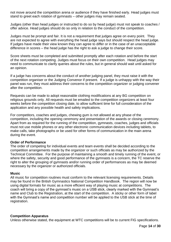not move around the competition arena or audience if they have finished early. Head judges must stand to greet each rotation of gymnasts – other judges may remain seated.

Judges (other than head judges or instructed to do so by head judge) must not speak to coaches / offer advice. Head judges should do so only in relation to the conduct of the competition.

Judges must be prompt and fair. It is not a requirement that judges agree on every point. They are not expected to agree with everything the head judge says but should respect the head judge. If judges have made their view known they can agree to differ or in the case of an unacceptable difference in scores – the head judge has the right to ask a judge to change their score.

Score sheets must be completed and submitted promptly after each rotation and before the start of the next rotation competing. Judges must focus on their own competition. Head judges may need to communicate to clarify queries about the rules, but in general should wait until asked for an opinion.

If a judge has concerns about the conduct of another judging panel, they must raise it with the competition organiser or the Judging Convenor if present. If a judge is unhappy with the way their panel was run, they must address their concerns to the competition organizer or judging convener after the competition.

Requests can be made to adopt reasonable clothing modifications at any BG competition on religious grounds only. All requests must be emailed to the competition organizers at least four weeks before the competition closing date, to allow sufficient time for full consideration of the application and any possible health and safety implications.

For competitors, coaches and judges, chewing gum is not allowed at any phase of the competition, including the opening ceremony and presentation of the awards or closing ceremony. Apart from as required for the running of the competition, gymnasts, coaches, judges and officials must not use mobile phones or any other electronic communication devices including tablets, to make calls, take photographs or be used for other forms of communication in the main arena during the event.

#### **Order of Performance**

The order of competing for individual events and team events shall be decided according to the competition arrangements made by the organizer or such officials as may be authorized by the Technical Committee. For the purpose of maintaining a smooth and timely running of the event, or where the safety, security and good performance of the gymnasts is a concern, the TC reserve the right to alter the grouping of gymnasts and/or running order of performances as may be deemed necessary by the organizer or authorized officials.

#### **Music**

All music for competition routines must conform to the relevant licensing requirements. Details may be found in the British Gymnastics National Competition Handbook. The region will now be using digital formats for music as a more efficient way of playing music at competitions. The coach will bring a copy of the gymnast's music on a USB stick, clearly marked with the Gymnast's name and Club to the Registration, at the start of the competition. A sticky or other form of label with the Gymnast's name and competition number will be applied to the USB stick at the time of registration.

#### **Competition Apparatus**

Unless otherwise stated, the equipment at WTC competitions will be to current FIG specifications.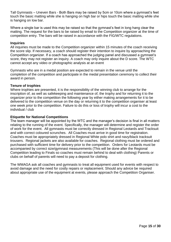Tall Gymnasts – Uneven Bars - Both Bars may be raised by 5cm or 10cm where a gymnast's feet touch the basic matting while she is hanging on high bar or hips touch the basic matting while she is hanging on low bar.

Where a single bar is used this may be raised so that the gymnast's feet in long hang clear the matting. The request for the bars to be raised by email to the Competition organizer at the time of competition entry. The bars will be raised in accordance with the FIG/WTC regulations.

#### **Inquiries**

All inquiries must be made to the Competition organizer within 15 minutes of the coach receiving the score slip. If necessary, a coach should register their intention to inquire by approaching the Competition organizer. If a coach has approached the judging panel and discussed a gymnast's score, they may not register an inquiry. A coach may only inquire about the D score. The WTC cannot accept any video or photographic analysis at an event

Gymnasts who are in a medal position are expected to remain in the venue until the completion of the competition and participate in the medal presentation ceremony to collect their award in person.

#### **Tenure of trophies**

Where trophies are presented, it is the responsibility of the winning club to arrange for the inscription of, as well as safekeeping and maintenance of, the trophy and for returning it to the organizer prior to the competition the following year by either making arrangements for it to be delivered to the competition venue on the day or returning it to the competition organiser at least one week prior to the competition. Failure to do this or loss of trophy will incur a cost to the individual / club

#### **Etiquette for National Competitions**

The team manager will be appointed by the WTC and the manager's decision is final in all matters relating to the running of the event. Specifically, the manager will determine and register the order of work for the event. All gymnasts must be correctly dressed in Regional Leotards and Tracksuit and with correct coloured scrunches. All Coaches must arrive in good time for registration. Coaches must be appropriately dressed in Regional White polo shirt and navy/black tracksuit trousers. Regional jackets are also available for coaches. Regional clothing must be ordered and purchased with sufficient time for delivery prior to the competition. Orders for Leotards must be accompanied by correct size/gymnast measurements (This will be done after the Regional Competition leading to Finals so coaches must remain behind to deal with clothing) Parents or clubs on behalf of parents will need to pay a deposit for clothing.

The WMAGA ask all coaches and gymnasts to treat all equipment used for events with respect to avoid damage and the need for costly repairs or replacement. Should any advice be required about appropriate use of the equipment at events, please approach the Competition Organiser.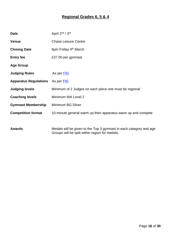# **Regional Grades 6, 5 & 4**

<span id="page-15-0"></span>

| <b>Date</b>                  | April 2 <sup>nd</sup> / 3 <sup>rd</sup>                            |
|------------------------------|--------------------------------------------------------------------|
| <b>Venue</b>                 | <b>Chase Leisure Centre</b>                                        |
| <b>Closing Date</b>          | 6pm Friday 4 <sup>th</sup> March                                   |
| <b>Entry fee</b>             | £37.00 per gymnast                                                 |
| <b>Age Group</b>             |                                                                    |
| <b>Judging Rules</b>         | As per FIG                                                         |
| <b>Apparatus Regulations</b> | As per <b>FIG</b>                                                  |
| <b>Judging levels</b>        | Minimum of 2 Judges on each piece one must be regional             |
| <b>Coaching levels</b>       | Minimum WA Level 2                                                 |
| <b>Gymnast Membership</b>    | Minimum BG Silver                                                  |
| <b>Competition format</b>    | 10-minute general warm up then apparatus warm up and compete       |
|                              |                                                                    |
| <b>Awards</b>                | Medals will be given to the Top 3 gymnast in each category and age |

Groups will be split within region for medals**.**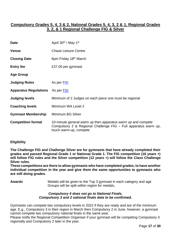# <span id="page-16-0"></span>**Compulsory Grades 5, 4, 3 & 2, National Grades 5, 4, 3, 2 & 1, Regional Grades 3, 2, & 1 Regional Challenge FIG & Silver**

| <b>Date</b>                  | April 30 <sup>th</sup> / May 1 <sup>st</sup>                                                                                                              |
|------------------------------|-----------------------------------------------------------------------------------------------------------------------------------------------------------|
| <b>Venue</b>                 | <b>Chase Leisure Centre</b>                                                                                                                               |
| <b>Closing Date</b>          | 6pm Friday 18 <sup>th</sup> March                                                                                                                         |
| <b>Entry fee</b>             | £37.00 per gymnast                                                                                                                                        |
| <b>Age Group</b>             |                                                                                                                                                           |
| <b>Judging Rules</b>         | As per FIG                                                                                                                                                |
| <b>Apparatus Regulations</b> | As per FIG                                                                                                                                                |
| <b>Judging levels</b>        | Minimum of 2 Judges on each piece one must be regional                                                                                                    |
| <b>Coaching levels</b>       | Minimum WA Level 2                                                                                                                                        |
| <b>Gymnast Membership</b>    | <b>Minimum BG Silver</b>                                                                                                                                  |
| <b>Competition format</b>    | 10-minute general warm up then apparatus warm up and compete<br>Compulsory 2 & Regional Challenge FIG – Full apparatus warm up,<br>touch warm-up, compete |

#### **Eligibility**

**The Challenge FIG and Challenge Silver are for gymnasts that have already completed their grades and passed Regional Grade 1 or National Grade 1. The FIG competition (16 years +) will follow FIG rules and the Silver competition (12 years +) will follow the Class Challenge Silver rules.** 

**These competitions are there to allow gymnasts who have completed grades, to have another individual competition in the year and give them the same opportunities to gymnasts who are still doing grades.**

**Awards** Medals will be given to the Top 3 gymnast in each category and age Groups will be split within region for medals**.**

#### *Compulsory 4 does not go to National Finals. Compulsory 3 and 2 national finals date to be confirmed.*

Gymnasts can compete two compulsory levels in 2022 if they are ready and are of the minimum age. E.g., Compulsory 3 in their region in March then Compulsory 2 in June, however, a gymnast cannot compete two compulsory national finals in the same year.

Please notify the Regional Competition Organiser if your gymnast will be competing Compulsory 3 regionally and Compulsory 2 later in the year.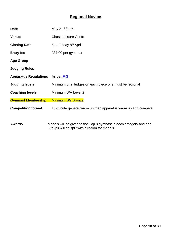# **Regional Novice**

<span id="page-17-0"></span>

| <b>Date</b>                                    | May 21 <sup>st</sup> / 22 <sup>nd</sup>                                         |
|------------------------------------------------|---------------------------------------------------------------------------------|
| <b>Venue</b>                                   | <b>Chase Leisure Centre</b>                                                     |
| <b>Closing Date</b>                            | 6pm Friday 8 <sup>th</sup> April                                                |
| <b>Entry fee</b>                               | £37.00 per gymnast                                                              |
| <b>Age Group</b>                               |                                                                                 |
| <b>Judging Rules</b>                           |                                                                                 |
| <b>Apparatus Regulations</b> As per <b>FIG</b> |                                                                                 |
| <b>Judging levels</b>                          | Minimum of 2 Judges on each piece one must be regional                          |
| <b>Coaching levels</b>                         | Minimum WA Level 2                                                              |
| <b>Gymnast Membership</b>                      | <b>Minimum BG Bronze</b>                                                        |
| <b>Competition format</b>                      | 10-minute general warm up then apparatus warm up and compete                    |
|                                                |                                                                                 |
| A <i>. .</i>                                   | معم امعه يسمع ملعم وامعم مرزبه معصومون ممكن معالج ملا مرمن تعامل الزبر وامامه ا |

**Awards** Medals will be given to the Top 3 gymnast in each category and age Groups will be split within region for medals**.**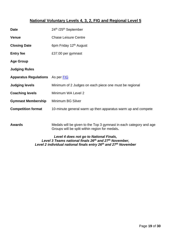# **National Voluntary Levels 4, 3, 2, FIG and Regional Level 5**

<span id="page-18-0"></span>

| <b>Date</b>                                    | 24th /25th September                                                                                                 |
|------------------------------------------------|----------------------------------------------------------------------------------------------------------------------|
| <b>Venue</b>                                   | <b>Chase Leisure Centre</b>                                                                                          |
| <b>Closing Date</b>                            | 6pm Friday 12 <sup>th</sup> August                                                                                   |
| <b>Entry fee</b>                               | £37.00 per gymnast                                                                                                   |
| <b>Age Group</b>                               |                                                                                                                      |
| <b>Judging Rules</b>                           |                                                                                                                      |
| <b>Apparatus Regulations</b> As per <b>FIG</b> |                                                                                                                      |
| <b>Judging levels</b>                          | Minimum of 2 Judges on each piece one must be regional                                                               |
| <b>Coaching levels</b>                         | Minimum WA Level 2                                                                                                   |
| <b>Gymnast Membership</b>                      | Minimum BG Silver                                                                                                    |
| <b>Competition format</b>                      | 10-minute general warm up then apparatus warm up and compete                                                         |
|                                                |                                                                                                                      |
| <b>Awards</b>                                  | Medals will be given to the Top 3 gymnast in each category and age<br>Groups will be split within region for medals. |

*Level 4 does not go to National Finals, Level 3 Teams national finals 26th and 27th November, Level 2 individual national finals entry 26th and 27th November*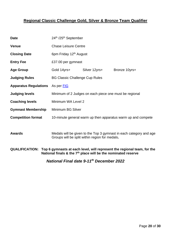# <span id="page-19-0"></span>**Regional Classic Challenge Gold, Silver & Bronze Team Qualifier**

| <b>Date</b>                                                                                                                                                         | 24th /25th September                                                                                                 |               |               |
|---------------------------------------------------------------------------------------------------------------------------------------------------------------------|----------------------------------------------------------------------------------------------------------------------|---------------|---------------|
| <b>Venue</b>                                                                                                                                                        | <b>Chase Leisure Centre</b>                                                                                          |               |               |
| <b>Closing Date</b>                                                                                                                                                 | 6pm Friday 12 <sup>th</sup> August                                                                                   |               |               |
| <b>Entry Fee</b>                                                                                                                                                    | £37.00 per gymnast                                                                                                   |               |               |
| <b>Age Group</b>                                                                                                                                                    | Gold 14yrs+                                                                                                          | Silver 12yrs+ | Bronze 10yrs+ |
| <b>Judging Rules</b>                                                                                                                                                | <b>BG Classic Challenge Cup Rules</b>                                                                                |               |               |
| <b>Apparatus Regulations</b>                                                                                                                                        | As per FIG                                                                                                           |               |               |
| <b>Judging levels</b>                                                                                                                                               | Minimum of 2 Judges on each piece one must be regional                                                               |               |               |
| <b>Coaching levels</b>                                                                                                                                              | Minimum WA Level 2                                                                                                   |               |               |
| <b>Gymnast Membership</b>                                                                                                                                           | Minimum BG Silver                                                                                                    |               |               |
| <b>Competition format</b>                                                                                                                                           | 10-minute general warm up then apparatus warm up and compete                                                         |               |               |
|                                                                                                                                                                     |                                                                                                                      |               |               |
| <b>Awards</b>                                                                                                                                                       | Medals will be given to the Top 3 gymnast in each category and age<br>Groups will be split within region for medals. |               |               |
| <b>QUALIFICATION:</b><br>Top 6 gymnasts at each level, will represent the regional team, for the<br>National finals & the $7th$ place will be the nominated reserve |                                                                                                                      |               |               |
|                                                                                                                                                                     |                                                                                                                      |               |               |

*National Final date 9-11th December 2022*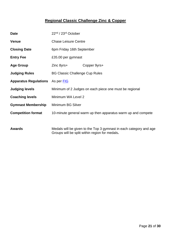# **Regional Classic Challenge Zinc & Copper**

<span id="page-20-0"></span>

| <b>Date</b>                  | 22nd / 23rd October                   |                                                                    |
|------------------------------|---------------------------------------|--------------------------------------------------------------------|
| <b>Venue</b>                 | <b>Chase Leisure Centre</b>           |                                                                    |
| <b>Closing Date</b>          | 6pm Friday 16th September             |                                                                    |
| <b>Entry Fee</b>             | £35.00 per gymnast                    |                                                                    |
| <b>Age Group</b>             | Zinc 8yrs+                            | Copper 9yrs+                                                       |
| <b>Judging Rules</b>         | <b>BG Classic Challenge Cup Rules</b> |                                                                    |
| <b>Apparatus Regulations</b> | As per <b>FIG</b>                     |                                                                    |
| <b>Judging levels</b>        |                                       | Minimum of 2 Judges on each piece one must be regional             |
| <b>Coaching levels</b>       | Minimum WA Level 2                    |                                                                    |
| <b>Gymnast Membership</b>    | Minimum BG Silver                     |                                                                    |
| <b>Competition format</b>    |                                       | 10-minute general warm up then apparatus warm up and compete       |
|                              |                                       |                                                                    |
| <b>Awards</b>                |                                       | Medals will be given to the Top 3 gymnast in each category and age |

Groups will be split within region for medals**.**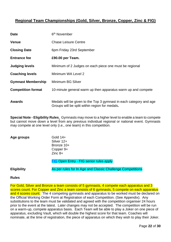# <span id="page-21-0"></span>**Regional Team Championships (Gold, Silver, Bronze, Copper, Zinc & FIG)**

| <b>Date</b>               | 6 <sup>th</sup> November                                                                                             |
|---------------------------|----------------------------------------------------------------------------------------------------------------------|
| <b>Venue</b>              | <b>Chase Leisure Centre</b>                                                                                          |
| <b>Closing Date</b>       | 6pm Friday 23rd September                                                                                            |
| <b>Entrance fee</b>       | £90.00 per Team.                                                                                                     |
| <b>Judging levels</b>     | Minimum of 2 Judges on each piece one must be regional                                                               |
| <b>Coaching levels</b>    | Minimum WA Level 2                                                                                                   |
| <b>Gymnast Membership</b> | Minimum BG Silver                                                                                                    |
| <b>Competition format</b> | 10-minute general warm up then apparatus warm up and compete                                                         |
| <b>Awards</b>             | Medals will be given to the Top 3 gymnast in each category and age<br>Groups will be split within region for medals. |

**Special Note - Eligibility Rules**. Gymnasts may move to a higher level to enable a team to compete but cannot move down a level from any previous individual regional or national event. Gymnasts may compete at one level only (i.e., one team) in this competition.

**Age groups** Gold 14+ Silver 12+ Bronze 10+ Copper 9+ Zinc 8+

**[FIG](file:///E:/WTC/en_WAG%20CoP%202022-2024.pdf) Open Entry - FIG senior rules apply** 

**Eligibility** As per rules for In Age and Classic Challenge Competitions

#### **Rules**

For Gold, Silver and Bronze a team consists of 5 gymnasts, 4 compete each apparatus and 3 scores count. For Copper and Zinc a team consists of 6 gymnasts, 5 compete on each apparatus and 4 scores count. The 4 competing gymnasts and apparatus to be worked must be declared on the Official Working Order Form at Registration of each Competition. (See Appendix). Any substitutions to the team must be validated and agreed with the competition organiser 24 hours prior to the event at the latest. Later changes may not be accepted. The competition will be run on a warm-up, compete apparatus basis. Each Team will be able to play a Joker on one piece of apparatus, excluding Vault, which will double the highest score for that team. Coaches will nominate, at the time of registration, the piece of apparatus on which they wish to play their Joker.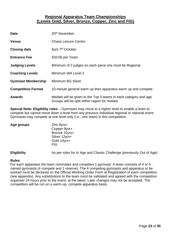## **Regional Apparatus Team Championships (Levels Gold, Silver, Bronze, Copper, Zinc and FIG)**

<span id="page-22-0"></span>

| <b>Date</b>               | 20 <sup>th</sup> November                                                                                         |
|---------------------------|-------------------------------------------------------------------------------------------------------------------|
| <b>Venue</b>              | <b>Chase Leisure Centre</b>                                                                                       |
| <b>Closing date</b>       | 6pm 7 <sup>th</sup> October                                                                                       |
| <b>Entrance Fee</b>       | £50:00 per Team                                                                                                   |
| <b>Judging Levels</b>     | Minimum of 2 judges on each piece one must be Regional                                                            |
| <b>Coaching Levels</b>    | Minimum WA Level 2                                                                                                |
| <b>Gymnast Membership</b> | Minimum BG Silver                                                                                                 |
| <b>Competition Format</b> | 10-minute general warm up then apparatus warm up and compete                                                      |
| <b>Awards</b>             | Medals will be given to the Top 3 teams in each category and age<br>Groups will be split within region for medals |

**Special Note: Eligibility rules** – Gymnasts may move to a higher level to enable a team to compete but cannot move down a level from any previous individual regional or national event. Gymnasts may compete at one level only (i.e., one team) in this competition.

| Age groups | Zinc 8yrs+    |
|------------|---------------|
|            | Copper 9yrs+  |
|            | Bronze 10yrs+ |
|            | Silver 12yrs+ |
|            | Gold 14yrs+   |
|            | <b>FIG</b>    |
|            |               |

**Eligibility** As per rules for In Age and Classic Challenge (previously Out of Age)

#### **Rules**

For each apparatus the team nominates and competes 1 gymnast. A team consists of 4 or 5 named gymnasts (4 compete and 1 reserve). The 4 competing gymnasts and apparatus to be worked must be declared on the Official Working Order Form at Registration of each competition (see appendix). Any substitutions to the team must be validated and agreed with the competition organiser 24 hours prior to the event, at the latest. Later changes may not be accepted. The competition will be run on a warm-up, compete apparatus basis.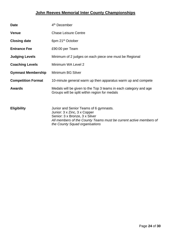# **John Reeves Memorial Inter County Championships**

<span id="page-23-0"></span>

| <b>Date</b>               | 4 <sup>th</sup> December                                                                                                                                                      |
|---------------------------|-------------------------------------------------------------------------------------------------------------------------------------------------------------------------------|
| <b>Venue</b>              | <b>Chase Leisure Centre</b>                                                                                                                                                   |
| <b>Closing date</b>       | 6pm 21 <sup>st</sup> October                                                                                                                                                  |
| <b>Entrance Fee</b>       | £90:00 per Team                                                                                                                                                               |
| <b>Judging Levels</b>     | Minimum of 2 judges on each piece one must be Regional                                                                                                                        |
| <b>Coaching Levels</b>    | Minimum WA Level 2                                                                                                                                                            |
| <b>Gymnast Membership</b> | Minimum BG Silver                                                                                                                                                             |
| <b>Competition Format</b> | 10-minute general warm up then apparatus warm up and compete                                                                                                                  |
| <b>Awards</b>             | Medals will be given to the Top 3 teams in each category and age<br>Groups will be split within region for medals                                                             |
| <b>Eligibility</b>        | Junior and Senior Teams of 6 gymnasts.<br>Junior: 3 x Zinc, 3 x Copper<br>Senior: 3 x Bronze, 3 x Silver<br>All members of the County Teams must be current active members of |

*the County Squad organisations*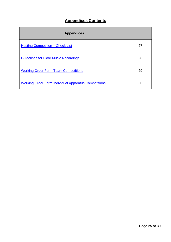# **Appendices Contents**

<span id="page-24-0"></span>

| <b>Appendices</b>                                           |    |
|-------------------------------------------------------------|----|
| <b>Hosting Competition – Check List</b>                     | 27 |
| <b>Guidelines for Floor Music Recordings</b>                | 28 |
| <b>Working Order Form Team Competitions</b>                 | 29 |
| <b>Working Order Form Individual Apparatus Competitions</b> | 30 |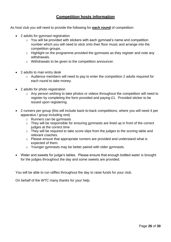# **Competition hosts information**

<span id="page-25-0"></span>As host club you will need to provide the following for **each round** of competition:

- 2 adults for gymnast registration
	- $\circ$  You will be provided with stickers with each gymnast's name and competition number which you will need to stick onto their floor music and arrange into the competition groups.
	- o Highlight on the programme provided the gymnasts as they register and note any withdrawals.
	- o Withdrawals to be given to the competition announcer.
- 2 adults to man entry desk
	- o Audience members will need to pay to enter the competition 2 adults required for each round to take money.
- 2 adults for photo registration
	- o Any person wishing to take photos or videos throughout the competition will need to register by completing the form provided and paying £1. Provided sticker to be issued upon registering.
- 2 runners per group (this will include back-to-back competitions, where you will need 4 per apparatus / group including rest)
	- o Runners can be gymnasts
	- o They will be responsible for ensuring gymnasts are lined up in front of the correct judges at the correct time
	- o They will be required to take score slips from the judges to the scoring table and relevant coaches.
	- o Please ensure that appropriate runners are provided and understand what is expected of them.
	- o Younger gymnasts may be better paired with older gymnasts.
- Water and sweets for judge's tables. Please ensure that enough bottled water is brought for the judges throughout the day and some sweets are provided.

You will be able to run raffles throughout the day to raise funds for your club.

On behalf of the WTC many thanks for your help.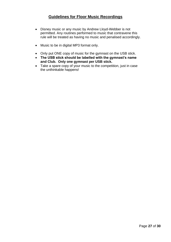# **Guidelines for Floor Music Recordings**

- <span id="page-26-0"></span>• Disney music or any music by Andrew Lloyd-Webber is not permitted. Any routines performed to music that contravene this rule will be treated as having no music and penalised accordingly.
- Music to be in digital MP3 format only.
- Only put ONE copy of music for the gymnast on the USB stick.
- **The USB stick should be labelled with the gymnast's name and Club. Only one gymnast per USB stick.**
- Take a spare copy of your music to the competition, just in case the unthinkable happens!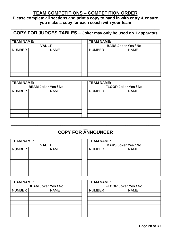# **TEAM COMPETITIONS – COMPETITION ORDER**

<span id="page-27-0"></span>**Please complete all sections and print a copy to hand in with entry & ensure you make a copy for each coach with your team**

# **\_\_\_\_\_\_\_\_\_\_\_\_\_\_\_\_\_\_\_\_\_\_\_\_\_\_\_\_\_\_\_\_\_\_\_\_\_\_\_\_\_\_\_\_\_\_\_\_\_\_\_\_\_\_\_\_\_\_ COPY FOR JUDGES TABLES – Joker may only be used on 1 apparatus**

| <b>TEAM NAME:</b> |              | <b>TEAM NAME:</b> |                            |  |
|-------------------|--------------|-------------------|----------------------------|--|
|                   | <b>VAULT</b> |                   | <b>BARS Joker Yes / No</b> |  |
| <b>NUMBER</b>     | <b>NAME</b>  | <b>NUMBER</b>     | <b>NAME</b>                |  |
|                   |              |                   |                            |  |
|                   |              |                   |                            |  |
|                   |              |                   |                            |  |
|                   |              |                   |                            |  |
|                   |              |                   |                            |  |
|                   |              |                   |                            |  |

| <b>TEAM NAME:</b> |                            | <b>TEAM NAME:</b> |                             |
|-------------------|----------------------------|-------------------|-----------------------------|
|                   | <b>BEAM Joker Yes / No</b> |                   | <b>FLOOR Joker Yes / No</b> |
| <b>NUMBER</b>     | <b>NAME</b>                | <b>NUMBER</b>     | <b>NAME</b>                 |
|                   |                            |                   |                             |
|                   |                            |                   |                             |
|                   |                            |                   |                             |
|                   |                            |                   |                             |
|                   |                            |                   |                             |
|                   |                            |                   |                             |

### $\overline{\phantom{a}}$ **COPY FOR ANNOUNCER**

\_\_\_\_\_\_\_\_\_\_\_\_\_\_\_\_\_\_\_\_\_\_\_\_\_\_\_\_\_\_\_\_\_\_\_\_\_\_\_\_\_\_\_\_\_\_\_\_\_\_\_\_\_\_\_\_\_\_\_\_\_\_\_\_\_\_\_\_\_\_\_\_\_\_\_\_\_\_

| <b>TEAM NAME:</b> |              | <b>TEAM NAME:</b> |                            |
|-------------------|--------------|-------------------|----------------------------|
|                   | <b>VAULT</b> |                   | <b>BARS Joker Yes / No</b> |
| NUMBER            | <b>NAME</b>  | <b>NUMBER</b>     | <b>NAME</b>                |
|                   |              |                   |                            |
|                   |              |                   |                            |
|                   |              |                   |                            |
|                   |              |                   |                            |
|                   |              |                   |                            |
|                   |              |                   |                            |

| <b>TEAM NAME:</b> |                            | <b>TEAM NAME:</b> |                             |
|-------------------|----------------------------|-------------------|-----------------------------|
|                   | <b>BEAM Joker Yes / No</b> |                   | <b>FLOOR Joker Yes / No</b> |
| <b>NUMBER</b>     | <b>NAME</b>                | <b>NUMBER</b>     | <b>NAME</b>                 |
|                   |                            |                   |                             |
|                   |                            |                   |                             |
|                   |                            |                   |                             |
|                   |                            |                   |                             |
|                   |                            |                   |                             |
|                   |                            |                   |                             |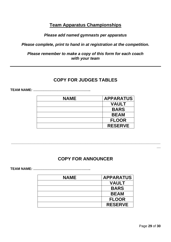# **Team Apparatus Championships**

## *Please add named gymnasts per apparatus*

<span id="page-28-0"></span>*Please complete, print to hand in at registration at the competition.* 

*Please remember to make a copy of this form for each coach with your team*

# **COPY FOR JUDGES TABLES**

**TEAM NAME: …………………………………………..**

| <b>NAME</b> | <b>APPARATUS</b> |
|-------------|------------------|
|             | <b>VAULT</b>     |
|             | <b>BARS</b>      |
|             | <b>BEAM</b>      |
|             | <b>FLOOR</b>     |
|             | <b>RESERVE</b>   |

# **COPY FOR ANNOUNCER**

**\_\_\_\_\_\_\_\_\_\_\_\_\_\_\_\_\_\_\_\_\_\_\_\_\_\_\_\_\_\_\_\_\_\_\_\_\_\_\_\_\_\_\_\_\_\_\_\_\_\_\_\_\_\_\_\_\_\_\_\_\_\_\_\_\_\_\_\_\_\_\_\_\_\_\_\_\_\_**

**TEAM NAME: …………………………………………..**

| <b>NAME</b> | <b>APPARATUS</b> |
|-------------|------------------|
|             | <b>VAULT</b>     |
|             | <b>BARS</b>      |
|             | <b>BEAM</b>      |
|             | <b>FLOOR</b>     |
|             | <b>RESERVE</b>   |

**\_\_**